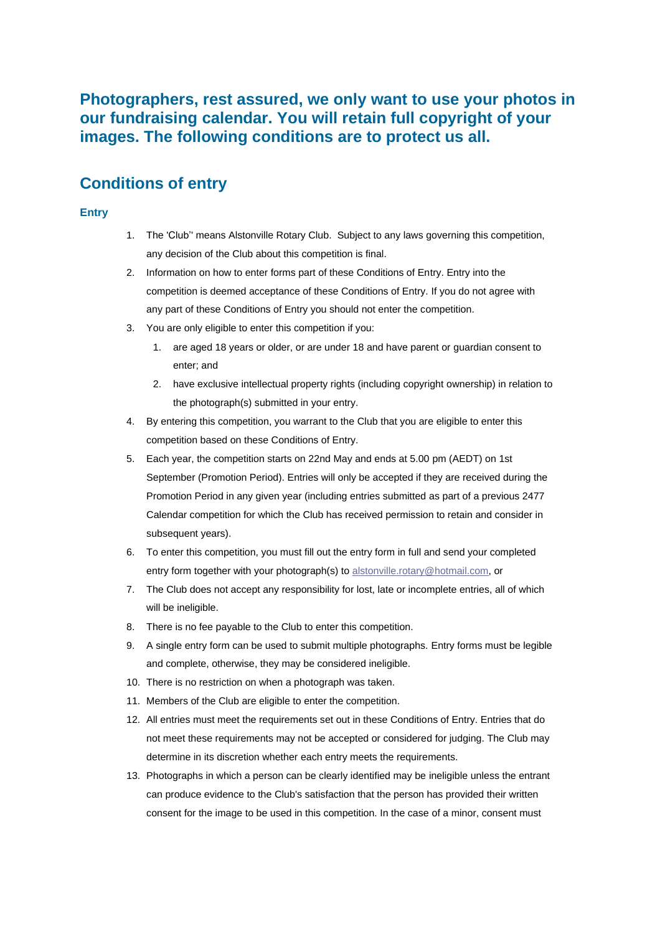**Photographers, rest assured, we only want to use your photos in our fundraising calendar. You will retain full copyright of your images. The following conditions are to protect us all.**

# **Conditions of entry**

### **Entry**

- 1. The 'Club'' means Alstonville Rotary Club. Subject to any laws governing this competition, any decision of the Club about this competition is final.
- 2. Information on how to enter forms part of these Conditions of Entry. Entry into the competition is deemed acceptance of these Conditions of Entry. If you do not agree with any part of these Conditions of Entry you should not enter the competition.
- 3. You are only eligible to enter this competition if you:
	- 1. are aged 18 years or older, or are under 18 and have parent or guardian consent to enter; and
	- 2. have exclusive intellectual property rights (including copyright ownership) in relation to the photograph(s) submitted in your entry.
- 4. By entering this competition, you warrant to the Club that you are eligible to enter this competition based on these Conditions of Entry.
- 5. Each year, the competition starts on 22nd May and ends at 5.00 pm (AEDT) on 1st September (Promotion Period). Entries will only be accepted if they are received during the Promotion Period in any given year (including entries submitted as part of a previous 2477 Calendar competition for which the Club has received permission to retain and consider in subsequent years).
- 6. To enter this competition, you must fill out the entry form in full and send your completed entry form together with your photograph(s) to alstonville.rotary@hotmail.com, or
- 7. The Club does not accept any responsibility for lost, late or incomplete entries, all of which will be ineligible.
- 8. There is no fee payable to the Club to enter this competition.
- 9. A single entry form can be used to submit multiple photographs. Entry forms must be legible and complete, otherwise, they may be considered ineligible.
- 10. There is no restriction on when a photograph was taken.
- 11. Members of the Club are eligible to enter the competition.
- 12. All entries must meet the requirements set out in these Conditions of Entry. Entries that do not meet these requirements may not be accepted or considered for judging. The Club may determine in its discretion whether each entry meets the requirements.
- 13. Photographs in which a person can be clearly identified may be ineligible unless the entrant can produce evidence to the Club's satisfaction that the person has provided their written consent for the image to be used in this competition. In the case of a minor, consent must